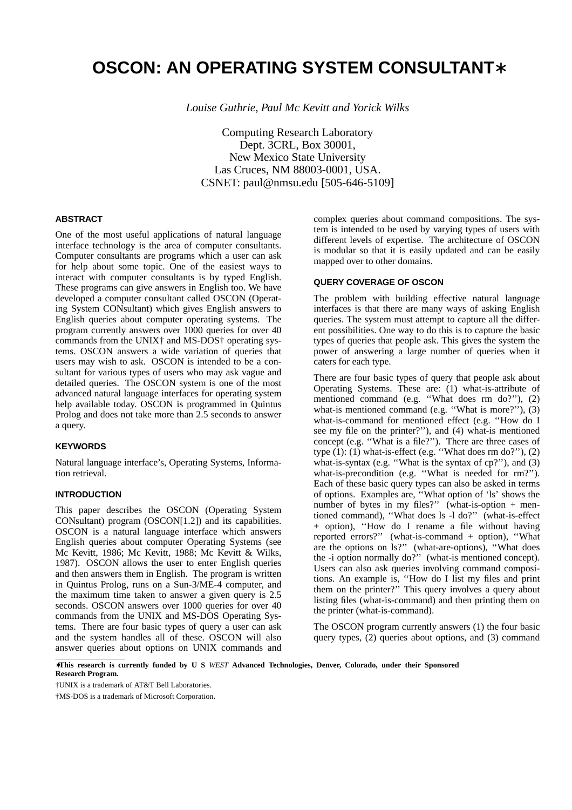# **OSCON: AN OPERATING SYSTEM CONSULTANT**∗

*Louise Guthrie, Paul Mc Kevitt and Yorick Wilks*

Computing Research Laboratory Dept. 3CRL, Box 30001, New Mexico State University Las Cruces, NM 88003-0001, USA. CSNET: paul@nmsu.edu [505-646-5109]

# **ABSTRACT**

One of the most useful applications of natural language interface technology is the area of computer consultants. Computer consultants are programs which a user can ask for help about some topic. One of the easiest ways to interact with computer consultants is by typed English. These programs can give answers in English too. We have developed a computer consultant called OSCON (Operating System CONsultant) which gives English answers to English queries about computer operating systems. The program currently answers over 1000 queries for over 40 commands from the UNIX† and MS-DOS† operating systems. OSCON answers a wide variation of queries that users may wish to ask. OSCON is intended to be a consultant for various types of users who may ask vague and detailed queries. The OSCON system is one of the most advanced natural language interfaces for operating system help available today. OSCON is programmed in Quintus Prolog and does not take more than 2.5 seconds to answer a query.

## **KEYWORDS**

Natural language interface's, Operating Systems, Information retrieval.

# **INTRODUCTION**

This paper describes the OSCON (Operating System CONsultant) program (OSCON[1.2]) and its capabilities. OSCON is a natural language interface which answers English queries about computer Operating Systems (see Mc Kevitt, 1986; Mc Kevitt, 1988; Mc Kevitt & Wilks, 1987). OSCON allows the user to enter English queries and then answers them in English. The program is written in Quintus Prolog, runs on a Sun-3/ME-4 computer, and the maximum time taken to answer a given query is 2.5 seconds. OSCON answers over 1000 queries for over 40 commands from the UNIX and MS-DOS Operating Systems. There are four basic types of query a user can ask and the system handles all of these. OSCON will also answer queries about options on UNIX commands and

complex queries about command compositions. The system is intended to be used by varying types of users with different levels of expertise. The architecture of OSCON is modular so that it is easily updated and can be easily mapped over to other domains.

# **QUERY COVERAGE OF OSCON**

The problem with building effective natural language interfaces is that there are many ways of asking English queries. The system must attempt to capture all the different possibilities. One way to do this is to capture the basic types of queries that people ask. This gives the system the power of answering a large number of queries when it caters for each type.

There are four basic types of query that people ask about Operating Systems. These are: (1) what-is-attribute of mentioned command (e.g. ''What does rm do?''), (2) what-is mentioned command (e.g. "What is more?"),  $(3)$ what-is-command for mentioned effect (e.g. ''How do I see my file on the printer?''), and (4) what-is mentioned concept (e.g. ''What is a file?''). There are three cases of type  $(1)$ :  $(1)$  what-is-effect (e.g. "What does rm do?"),  $(2)$ what-is-syntax (e.g. "What is the syntax of cp?"), and (3) what-is-precondition (e.g. ''What is needed for rm?''). Each of these basic query types can also be asked in terms of options. Examples are, ''What option of 'ls' shows the number of bytes in my files?" (what-is-option  $+$  mentioned command), ''What does ls -l do?'' (what-is-effect + option), ''How do I rename a file without having reported errors?'' (what-is-command + option), ''What are the options on ls?'' (what-are-options), ''What does the -i option normally do?'' (what-is mentioned concept). Users can also ask queries involving command compositions. An example is, ''How do I list my files and print them on the printer?'' This query involves a query about listing files (what-is-command) and then printing them on the printer (what-is-command).

The OSCON program currently answers (1) the four basic query types,  $(2)$  queries about options, and  $(3)$  command

∗**This research is currently funded by U S** *WEST* **Advanced Technologies, Denver, Colorado, under their Sponsored Research Program.**

†MS-DOS is a trademark of Microsoft Corporation.

<sup>†</sup>UNIX is a trademark of AT&T Bell Laboratories.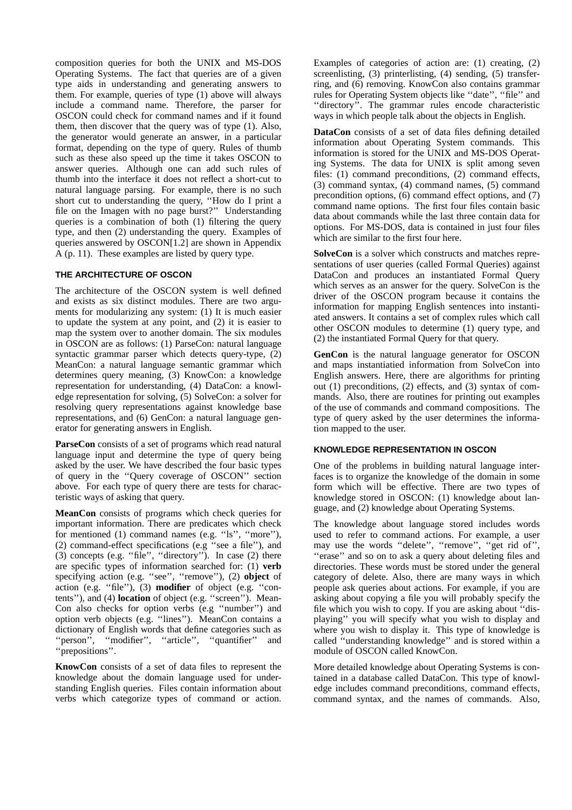composition queries for both the UNIX and MS-DOS Operating Systems. The fact that queries are of a given type aids in understanding and generating answers to them. For example, queries of type (1) above will always include a command name. Therefore, the parser for OSCON could check for command names and if it found them, then discover that the query was of type (1). Also, the generator would generate an answer, in a particular format, depending on the type of query. Rules of thumb such as these also speed up the time it takes OSCON to answer queries. Although one can add such rules of thumb into the interface it does not reflect a short-cut to natural language parsing. For example, there is no such short cut to understanding the query, ''How do I print a file on the Imagen with no page burst?'' Understanding queries is a combination of both (1) filtering the query type, and then (2) understanding the query. Examples of queries answered by OSCON[1.2] are shown in Appendix A (p. 11). These examples are listed by query type.

## **THE ARCHITECTURE OF OSCON**

The architecture of the OSCON system is well defined and exists as six distinct modules. There are two arguments for modularizing any system: (1) It is much easier to update the system at any point, and (2) it is easier to map the system over to another domain. The six modules in OSCON are as follows: (1) ParseCon: natural language syntactic grammar parser which detects query-type, (2) MeanCon: a natural language semantic grammar which determines query meaning, (3) KnowCon: a knowledge representation for understanding, (4) DataCon: a knowledge representation for solving, (5) SolveCon: a solver for resolving query representations against knowledge base representations, and (6) GenCon: a natural language generator for generating answers in English.

**ParseCon** consists of a set of programs which read natural language input and determine the type of query being asked by the user. We have described the four basic types of query in the ''Query coverage of OSCON'' section above. For each type of query there are tests for characteristic ways of asking that query.

**MeanCon** consists of programs which check queries for important information. There are predicates which check for mentioned (1) command names (e.g. ''ls'', ''more''), (2) command-effect specifications (e.g ''see a file''), and (3) concepts (e.g. ''file'', ''directory''). In case (2) there are specific types of information searched for: (1) **verb** specifying action (e.g. ''see'', ''remove''), (2) **object** of action (e.g. ''file''), (3) **modifier** of object (e.g. ''contents''), and (4) **location** of object (e.g. ''screen''). Mean-Con also checks for option verbs (e.g ''number'') and option verb objects (e.g. ''lines''). MeanCon contains a dictionary of English words that define categories such as "person", "modifier", "article", "quantifier" and ''prepositions''.

**KnowCon** consists of a set of data files to represent the knowledge about the domain language used for understanding English queries. Files contain information about verbs which categorize types of command or action.

Examples of categories of action are: (1) creating, (2) screenlisting, (3) printerlisting, (4) sending, (5) transferring, and (6) removing. KnowCon also contains grammar rules for Operating System objects like ''date'', ''file'' and ''directory''. The grammar rules encode characteristic ways in which people talk about the objects in English.

**DataCon** consists of a set of data files defining detailed information about Operating System commands. This information is stored for the UNIX and MS-DOS Operating Systems. The data for UNIX is split among seven files: (1) command preconditions, (2) command effects, (3) command syntax, (4) command names, (5) command precondition options, (6) command effect options, and (7) command name options. The first four files contain basic data about commands while the last three contain data for options. For MS-DOS, data is contained in just four files which are similar to the first four here.

**SolveCon** is a solver which constructs and matches representations of user queries (called Formal Queries) against DataCon and produces an instantiated Formal Query which serves as an answer for the query. SolveCon is the driver of the OSCON program because it contains the information for mapping English sentences into instantiated answers. It contains a set of complex rules which call other OSCON modules to determine (1) query type, and (2) the instantiated Formal Query for that query.

**GenCon** is the natural language generator for OSCON and maps instantiatied information from SolveCon into English answers. Here, there are algorithms for printing out (1) preconditions, (2) effects, and (3) syntax of commands. Also, there are routines for printing out examples of the use of commands and command compositions. The type of query asked by the user determines the information mapped to the user.

## **KNOWLEDGE REPRESENTATION IN OSCON**

One of the problems in building natural language interfaces is to organize the knowledge of the domain in some form which will be effective. There are two types of knowledge stored in OSCON: (1) knowledge about language, and (2) knowledge about Operating Systems.

The knowledge about language stored includes words used to refer to command actions. For example, a user may use the words ''delete'', ''remove'', ''get rid of'', ''erase'' and so on to ask a query about deleting files and directories. These words must be stored under the general category of delete. Also, there are many ways in which people ask queries about actions. For example, if you are asking about copying a file you will probably specify the file which you wish to copy. If you are asking about ''displaying'' you will specify what you wish to display and where you wish to display it. This type of knowledge is called ''understanding knowledge'' and is stored within a module of OSCON called KnowCon.

More detailed knowledge about Operating Systems is contained in a database called DataCon. This type of knowledge includes command preconditions, command effects, command syntax, and the names of commands. Also,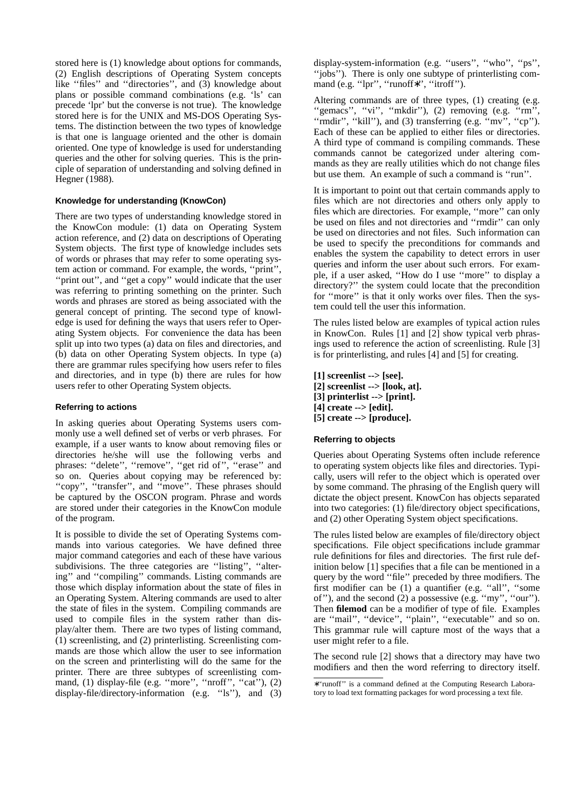stored here is (1) knowledge about options for commands, (2) English descriptions of Operating System concepts like "files" and "directories", and (3) knowledge about plans or possible command combinations (e.g. 'ls' can precede 'lpr' but the converse is not true). The knowledge stored here is for the UNIX and MS-DOS Operating Systems. The distinction between the two types of knowledge is that one is language oriented and the other is domain oriented. One type of knowledge is used for understanding queries and the other for solving queries. This is the principle of separation of understanding and solving defined in Hegner (1988).

#### **Knowledge for understanding (KnowCon)**

There are two types of understanding knowledge stored in the KnowCon module: (1) data on Operating System action reference, and (2) data on descriptions of Operating System objects. The first type of knowledge includes sets of words or phrases that may refer to some operating system action or command. For example, the words, ''print'', "print out", and "get a copy" would indicate that the user was referring to printing something on the printer. Such words and phrases are stored as being associated with the general concept of printing. The second type of knowledge is used for defining the ways that users refer to Operating System objects. For convenience the data has been split up into two types (a) data on files and directories, and (b) data on other Operating System objects. In type (a) there are grammar rules specifying how users refer to files and directories, and in type (b) there are rules for how users refer to other Operating System objects.

#### **Referring to actions**

In asking queries about Operating Systems users commonly use a well defined set of verbs or verb phrases. For example, if a user wants to know about removing files or directories he/she will use the following verbs and phrases: "delete", "remove", "get rid of", "erase" and so on. Queries about copying may be referenced by: "copy", "transfer", and "move". These phrases should be captured by the OSCON program. Phrase and words are stored under their categories in the KnowCon module of the program.

It is possible to divide the set of Operating Systems commands into various categories. We have defined three major command categories and each of these have various subdivisions. The three categories are ''listing'', ''altering'' and ''compiling'' commands. Listing commands are those which display information about the state of files in an Operating System. Altering commands are used to alter the state of files in the system. Compiling commands are used to compile files in the system rather than display/alter them. There are two types of listing command, (1) screenlisting, and (2) printerlisting. Screenlisting commands are those which allow the user to see information on the screen and printerlisting will do the same for the printer. There are three subtypes of screenlisting command, (1) display-file (e.g. "more", "nroff", "cat"), (2) display-file/directory-information (e.g. "ls"), and (3)

display-system-information (e.g. ''users'', ''who'', ''ps'', ''jobs''). There is only one subtype of printerlisting command (e.g. "lpr", "runoff\*", "itroff").

Altering commands are of three types, (1) creating (e.g. "gemacs", "vi", "mkdir"), (2) removing (e.g. "rm", "rmdir", "kill"), and (3) transferring (e.g. "mv", "cp"). Each of these can be applied to either files or directories. A third type of command is compiling commands. These commands cannot be categorized under altering commands as they are really utilities which do not change files but use them. An example of such a command is ''run''.

It is important to point out that certain commands apply to files which are not directories and others only apply to files which are directories. For example, ''more'' can only be used on files and not directories and ''rmdir'' can only be used on directories and not files. Such information can be used to specify the preconditions for commands and enables the system the capability to detect errors in user queries and inform the user about such errors. For example, if a user asked, ''How do I use ''more'' to display a directory?'' the system could locate that the precondition for "more" is that it only works over files. Then the system could tell the user this information.

The rules listed below are examples of typical action rules in KnowCon. Rules [1] and [2] show typical verb phrasings used to reference the action of screenlisting. Rule [3] is for printerlisting, and rules [4] and [5] for creating.

**[1] screenlist --> [see]. [2] screenlist --> [look, at]. [3] printerlist --> [print]. [4] create --> [edit]. [5] create --> [produce].**

# **Referring to objects**

Queries about Operating Systems often include reference to operating system objects like files and directories. Typically, users will refer to the object which is operated over by some command. The phrasing of the English query will dictate the object present. KnowCon has objects separated into two categories: (1) file/directory object specifications, and (2) other Operating System object specifications.

The rules listed below are examples of file/directory object specifications. File object specifications include grammar rule definitions for files and directories. The first rule definition below [1] specifies that a file can be mentioned in a query by the word ''file'' preceded by three modifiers. The first modifier can be (1) a quantifier (e.g. ''all'', ''some of ''), and the second (2) a possessive (e.g. ''my'', ''our''). Then **filemod** can be a modifier of type of file. Examples are "mail", "device", "plain", "executable" and so on. This grammar rule will capture most of the ways that a user might refer to a file.

The second rule [2] shows that a directory may have two modifiers and then the word referring to directory itself.

<sup>∗</sup>''runoff'' isacommand defined at the Computing Research Laboratory to load text formatting packages for word processing a text file.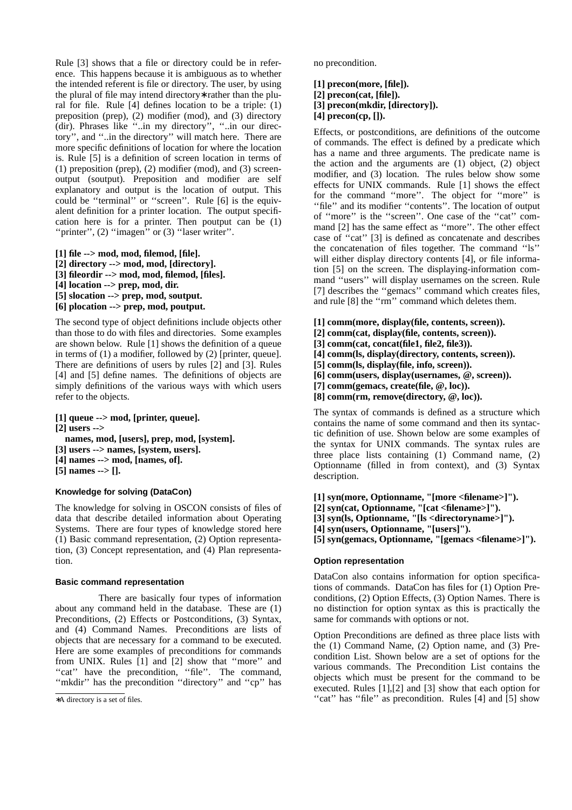Rule [3] shows that a file or directory could be in reference. This happens because it is ambiguous as to whether the intended referent is file or directory. The user, by using the plural of file may intend directory∗ rather than the plural for file. Rule [4] defines location to be a triple: (1) preposition (prep), (2) modifier (mod), and (3) directory (dir). Phrases like ''..in my directory'', ''..in our directory'', and ''..in the directory'' will match here. There are more specific definitions of location for where the location is. Rule [5] is a definition of screen location in terms of (1) preposition (prep), (2) modifier (mod), and (3) screenoutput (soutput). Preposition and modifier are self explanatory and output is the location of output. This could be ''terminal'' or ''screen''. Rule [6] is the equivalent definition for a printer location. The output specification here is for a printer. Then poutput can be (1) "printer", (2) "imagen" or (3) "laser writer".

- **[1] file --> mod, mod, filemod, [file]. [2] directory --> mod, mod, [directory]. [3] fileordir --> mod, mod, filemod, [files]. [4] location --> prep, mod, dir. [5] slocation --> prep, mod, soutput.**
- **[6] plocation --> prep, mod, poutput.**

The second type of object definitions include objects other than those to do with files and directories. Some examples are shown below. Rule [1] shows the definition of a queue in terms of (1) a modifier, followed by (2) [printer, queue]. There are definitions of users by rules [2] and [3]. Rules [4] and [5] define names. The definitions of objects are simply definitions of the various ways with which users refer to the objects.

**[1] queue --> mod, [printer, queue]. [2] users --> names, mod, [users], prep, mod, [system]. [3] users --> names, [system, users]. [4] names --> mod, [names, of].**

**[5] names --> [].**

## **Knowledge for solving (DataCon)**

The knowledge for solving in OSCON consists of files of data that describe detailed information about Operating Systems. There are four types of knowledge stored here (1) Basic command representation, (2) Option representation, (3) Concept representation, and (4) Plan representation.

#### **Basic command representation**

There are basically four types of information about any command held in the database. These are (1) Preconditions, (2) Effects or Postconditions, (3) Syntax, and (4) Command Names. Preconditions are lists of objects that are necessary for a command to be executed. Here are some examples of preconditions for commands from UNIX. Rules [1] and [2] show that ''more'' and "cat" have the precondition, "file". The command, "mkdir" has the precondition "directory" and "cp" has

no precondition.

- **[1] precon(more, [file]). [2] precon(cat, [file]).**
- **[3] precon(mkdir, [directory]).**
- **[4] precon(cp, []).**

Effects, or postconditions, are definitions of the outcome of commands. The effect is defined by a predicate which has a name and three arguments. The predicate name is the action and the arguments are (1) object, (2) object modifier, and (3) location. The rules below show some effects for UNIX commands. Rule [1] shows the effect for the command ''more''. The object for ''more'' is "file" and its modifier "contents". The location of output of ''more'' is the ''screen''. One case of the ''cat'' command [2] has the same effect as ''more''. The other effect case of ''cat'' [3] is defined as concatenate and describes the concatenation of files together. The command ''ls'' will either display directory contents [4], or file information [5] on the screen. The displaying-information command ''users'' will display usernames on the screen. Rule [7] describes the "gemacs" command which creates files, and rule [8] the ''rm'' command which deletes them.

- **[1] comm(more, display(file, contents, screen)).**
- **[2] comm(cat, display(file, contents, screen)).**
- **[3] comm(cat, concat(file1, file2, file3)).**
- **[4] comm(ls, display(directory, contents, screen)).**
- **[5] comm(ls, display(file, info, screen)).**
- **[6] comm(users, display(usernames, @, screen)).**
- **[7] comm(gemacs, create(file, @, loc)).**
- **[8] comm(rm, remove(directory, @, loc)).**

The syntax of commands is defined as a structure which contains the name of some command and then its syntactic definition of use. Shown below are some examples of the syntax for UNIX commands. The syntax rules are three place lists containing (1) Command name, (2) Optionname (filled in from context), and (3) Syntax description.

**[1] syn(more, Optionname, "[more <filename>]").**

- **[2] syn(cat, Optionname, "[cat <filename>]").**
- **[3] syn(ls, Optionname, "[ls <directoryname>]").**
- **[4] syn(users, Optionname, "[users]").**
- **[5] syn(gemacs, Optionname, "[gemacs <filename>]").**

#### **Option representation**

DataCon also contains information for option specifications of commands. DataCon has files for (1) Option Preconditions, (2) Option Effects, (3) Option Names. There is no distinction for option syntax as this is practically the same for commands with options or not.

Option Preconditions are defined as three place lists with the (1) Command Name, (2) Option name, and (3) Precondition List. Shown below are a set of options for the various commands. The Precondition List contains the objects which must be present for the command to be executed. Rules [1],[2] and [3] show that each option for "cat" has "file" as precondition. Rules [4] and [5] show

<sup>∗</sup>A directory is a set of files.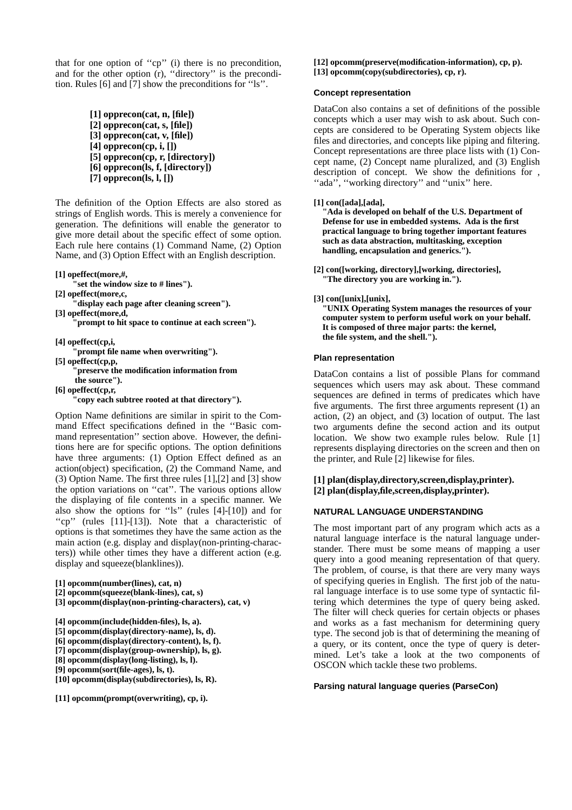that for one option of ''cp'' (i) there is no precondition, and for the other option (r), ''directory'' is the precondition. Rules [6] and [7] show the preconditions for ''ls''.

```
[1] opprecon(cat, n, [file])
[2] opprecon(cat, s, [file])
[3] opprecon(cat, v, [file])
[4] opprecon(cp, i, [])
[5] opprecon(cp, r, [directory])
[6] opprecon(ls, f, [directory])
[7] opprecon(ls, l, [])
```
The definition of the Option Effects are also stored as strings of English words. This is merely a convenience for generation. The definitions will enable the generator to give more detail about the specific effect of some option. Each rule here contains (1) Command Name, (2) Option Name, and (3) Option Effect with an English description.

- **[1] opeffect(more,#,**
- **"set the window size to # lines").**
- **[2] opeffect(more,c,**
- **"display each page after cleaning screen").**
- **[3] opeffect(more,d,**

**"prompt to hit space to continue at each screen").**

- **[4] opeffect(cp,i,**
- **"prompt file name when overwriting"). [5] opeffect(cp,p,**
- **"preserve the modification information from the source"). [6] opeffect(cp,r,**
	- **"copy each subtree rooted at that directory").**

Option Name definitions are similar in spirit to the Command Effect specifications defined in the ''Basic command representation" section above. However, the definitions here are for specific options. The option definitions have three arguments: (1) Option Effect defined as an action(object) specification, (2) the Command Name, and (3) Option Name. The first three rules [1],[2] and [3] show the option variations on ''cat''. The various options allow the displaying of file contents in a specific manner. We also show the options for ''ls'' (rules [4]-[10]) and for "cp" (rules  $[11]$ - $[13]$ ). Note that a characteristic of options is that sometimes they have the same action as the main action (e.g. display and display(non-printing-characters)) while other times they have a different action (e.g. display and squeeze(blanklines)).

- **[1] opcomm(number(lines), cat, n)**
- **[2] opcomm(squeeze(blank-lines), cat, s)**
- **[3] opcomm(display(non-printing-characters), cat, v)**
- **[4] opcomm(include(hidden-files), ls, a).**
- **[5] opcomm(display(directory-name), ls, d).**
- **[6] opcomm(display(directory-content), ls, f).**
- **[7] opcomm(display(group-ownership), ls, g).**
- **[8] opcomm(display(long-listing), ls, l).**
- **[9] opcomm(sort(file-ages), ls, t).**
- **[10] opcomm(display(subdirectories), ls, R).**
- **[11] opcomm(prompt(overwriting), cp, i).**

## **[12] opcomm(preserve(modification-information), cp, p). [13] opcomm(copy(subdirectories), cp, r).**

# **Concept representation**

DataCon also contains a set of definitions of the possible concepts which a user may wish to ask about. Such concepts are considered to be Operating System objects like files and directories, and concepts like piping and filtering. Concept representations are three place lists with (1) Concept name, (2) Concept name pluralized, and (3) English description of concept. We show the definitions for , "ada", "working directory" and "unix" here.

## **[1] con([ada],[ada],**

**"Ada is developed on behalf of the U.S. Department of Defense for use in embedded systems. Ada is the first practical language to bring together important features such as data abstraction, multitasking, exception handling, encapsulation and generics.").**

**[2] con([working, directory],[working, directories], "The directory you are working in.").**

#### **[3] con([unix],[unix],**

**"UNIX Operating System manages the resources of your computer system to perform useful work on your behalf. It is composed of three major parts: the kernel, the file system, and the shell.").**

#### **Plan representation**

DataCon contains a list of possible Plans for command sequences which users may ask about. These command sequences are defined in terms of predicates which have five arguments. The first three arguments represent (1) an action, (2) an object, and (3) location of output. The last two arguments define the second action and its output location. We show two example rules below. Rule [1] represents displaying directories on the screen and then on the printer, and Rule [2] likewise for files.

## **[1] plan(display,directory,screen,display,printer). [2] plan(display,file,screen,display,printer).**

#### **NATURAL LANGUAGE UNDERSTANDING**

The most important part of any program which acts as a natural language interface is the natural language understander. There must be some means of mapping a user query into a good meaning representation of that query. The problem, of course, is that there are very many ways of specifying queries in English. The first job of the natural language interface is to use some type of syntactic filtering which determines the type of query being asked. The filter will check queries for certain objects or phases and works as a fast mechanism for determining query type. The second job is that of determining the meaning of a query, or its content, once the type of query is determined. Let's take a look at the two components of OSCON which tackle these two problems.

#### **Parsing natural language queries (ParseCon)**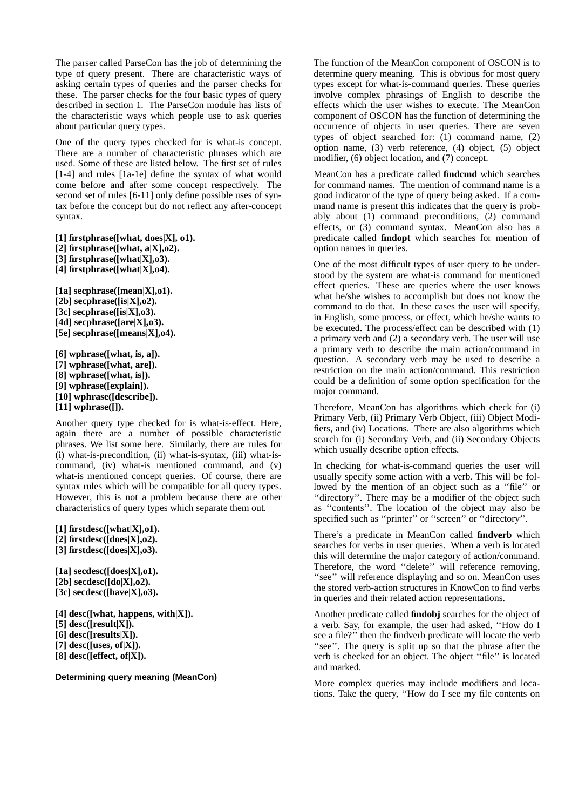The parser called ParseCon has the job of determining the type of query present. There are characteristic ways of asking certain types of queries and the parser checks for these. The parser checks for the four basic types of query described in section 1. The ParseCon module has lists of the characteristic ways which people use to ask queries about particular query types.

One of the query types checked for is what-is concept. There are a number of characteristic phrases which are used. Some of these are listed below. The first set of rules [1-4] and rules [1a-1e] define the syntax of what would come before and after some concept respectively. The second set of rules [6-11] only define possible uses of syntax before the concept but do not reflect any after-concept syntax.

```
[1] firstphrase([what, does|X], o1).
[2] firstphrase([what, a|X],o2).
[3] firstphrase([what|X],o3).
[4] firstphrase([what|X],o4).
```
**[1a] secphrase([mean|X],o1). [2b] secphrase([is|X],o2). [3c] secphrase([is|X],o3). [4d] secphrase([are|X],o3). [5e] secphrase([means|X],o4).**

**[6] wphrase([what, is, a]). [7] wphrase([what, are]). [8] wphrase([what, is]). [9] wphrase([explain]). [10] wphrase([describe]). [11] wphrase([]).**

Another query type checked for is what-is-effect. Here, again there are a number of possible characteristic phrases. We list some here. Similarly, there are rules for (i) what-is-precondition, (ii) what-is-syntax, (iii) what-iscommand, (iv) what-is mentioned command, and (v) what-is mentioned concept queries. Of course, there are syntax rules which will be compatible for all query types. However, this is not a problem because there are other characteristics of query types which separate them out.

- **[1] firstdesc([what|X],o1). [2] firstdesc([does|X],o2). [3] firstdesc([does|X],o3).**
- **[1a] secdesc([does|X],o1). [2b] secdesc([do|X],o2). [3c] secdesc([have|X],o3).**

**[4] desc([what, happens, with|X]). [5] desc([result|X]). [6] desc([results|X]). [7] desc([uses, of|X]). [8] desc([effect, of|X]).**

**Determining query meaning (MeanCon)**

The function of the MeanCon component of OSCON is to determine query meaning. This is obvious for most query types except for what-is-command queries. These queries involve complex phrasings of English to describe the effects which the user wishes to execute. The MeanCon component of OSCON has the function of determining the occurrence of objects in user queries. There are seven types of object searched for: (1) command name, (2) option name, (3) verb reference, (4) object, (5) object modifier, (6) object location, and (7) concept.

MeanCon has a predicate called **findcmd** which searches for command names. The mention of command name is a good indicator of the type of query being asked. If a command name is present this indicates that the query is probably about (1) command preconditions, (2) command effects, or (3) command syntax. MeanCon also has a predicate called **findopt** which searches for mention of option names in queries.

One of the most difficult types of user query to be understood by the system are what-is command for mentioned effect queries. These are queries where the user knows what he/she wishes to accomplish but does not know the command to do that. In these cases the user will specify, in English, some process, or effect, which he/she wants to be executed. The process/effect can be described with (1) a primary verb and (2) a secondary verb. The user will use a primary verb to describe the main action/command in question. A secondary verb may be used to describe a restriction on the main action/command. This restriction could be a definition of some option specification for the major command.

Therefore, MeanCon has algorithms which check for (i) Primary Verb, (ii) Primary Verb Object, (iii) Object Modifiers, and (iv) Locations. There are also algorithms which search for (i) Secondary Verb, and (ii) Secondary Objects which usually describe option effects.

In checking for what-is-command queries the user will usually specify some action with a verb. This will be followed by the mention of an object such as a ''file'' or "directory". There may be a modifier of the object such as ''contents''. The location of the object may also be specified such as "printer" or "screen" or "directory".

There's a predicate in MeanCon called **findverb** which searches for verbs in user queries. When a verb is located this will determine the major category of action/command. Therefore, the word "delete" will reference removing, "see" will reference displaying and so on. MeanCon uses the stored verb-action structures in KnowCon to find verbs in queries and their related action representations.

Another predicate called **findobj** searches for the object of a verb. Say, for example, the user had asked, ''How do I see a file?'' then the findverb predicate will locate the verb "see". The query is split up so that the phrase after the verb is checked for an object. The object ''file'' is located and marked.

More complex queries may include modifiers and locations. Take the query, ''How do I see my file contents on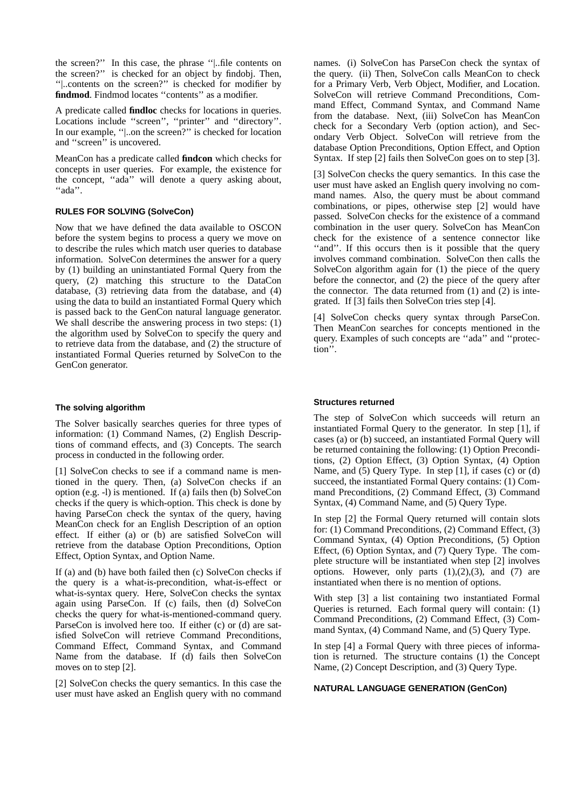the screen?'' In this case, the phrase ''|..file contents on the screen?'' is checked for an object by findobj. Then, ''|..contents on the screen?'' is checked for modifier by **findmod**. Findmod locates "contents" as a modifier.

A predicate called **findloc** checks for locations in queries. Locations include ''screen'', ''printer'' and ''directory''. In our example, ''|..on the screen?'' is checked for location and ''screen'' is uncovered.

MeanCon has a predicate called **findcon** which checks for concepts in user queries. For example, the existence for the concept, ''ada'' will denote a query asking about, ''ada''.

## **RULES FOR SOLVING (SolveCon)**

Now that we have defined the data available to OSCON before the system begins to process a query we move on to describe the rules which match user queries to database information. SolveCon determines the answer for a query by (1) building an uninstantiated Formal Query from the query, (2) matching this structure to the DataCon database, (3) retrieving data from the database, and (4) using the data to build an instantiated Formal Query which is passed back to the GenCon natural language generator. We shall describe the answering process in two steps: (1) the algorithm used by SolveCon to specify the query and to retrieve data from the database, and (2) the structure of instantiated Formal Queries returned by SolveCon to the GenCon generator.

#### **The solving algorithm**

The Solver basically searches queries for three types of information: (1) Command Names, (2) English Descriptions of command effects, and (3) Concepts. The search process in conducted in the following order.

[1] SolveCon checks to see if a command name is mentioned in the query. Then, (a) SolveCon checks if an option (e.g. -l) is mentioned. If (a) fails then (b) SolveCon checks if the query is which-option. This check is done by having ParseCon check the syntax of the query, having MeanCon check for an English Description of an option effect. If either (a) or (b) are satisfied SolveCon will retrieve from the database Option Preconditions, Option Effect, Option Syntax, and Option Name.

If (a) and (b) have both failed then (c) SolveCon checks if the query is a what-is-precondition, what-is-effect or what-is-syntax query. Here, SolveCon checks the syntax again using ParseCon. If (c) fails, then (d) SolveCon checks the query for what-is-mentioned-command query. ParseCon is involved here too. If either (c) or (d) are satisfied SolveCon will retrieve Command Preconditions, Command Effect, Command Syntax, and Command Name from the database. If (d) fails then SolveCon moves on to step [2].

[2] SolveCon checks the query semantics. In this case the user must have asked an English query with no command

names. (i) SolveCon has ParseCon check the syntax of the query. (ii) Then, SolveCon calls MeanCon to check for a Primary Verb, Verb Object, Modifier, and Location. SolveCon will retrieve Command Preconditions, Command Effect, Command Syntax, and Command Name from the database. Next, (iii) SolveCon has MeanCon check for a Secondary Verb (option action), and Secondary Verb Object. SolveCon will retrieve from the database Option Preconditions, Option Effect, and Option Syntax. If step [2] fails then SolveCon goes on to step [3].

[3] SolveCon checks the query semantics. In this case the user must have asked an English query involving no command names. Also, the query must be about command combinations, or pipes, otherwise step [2] would have passed. SolveCon checks for the existence of a command combination in the user query. SolveCon has MeanCon check for the existence of a sentence connector like "and". If this occurs then is it possible that the query involves command combination. SolveCon then calls the SolveCon algorithm again for (1) the piece of the query before the connector, and (2) the piece of the query after the connector. The data returned from  $(1)$  and  $(2)$  is integrated. If [3] fails then SolveCon tries step [4].

[4] SolveCon checks query syntax through ParseCon. Then MeanCon searches for concepts mentioned in the query. Examples of such concepts are ''ada'' and ''protection''.

# **Structures returned**

The step of SolveCon which succeeds will return an instantiated Formal Query to the generator. In step [1], if cases (a) or (b) succeed, an instantiated Formal Query will be returned containing the following: (1) Option Preconditions, (2) Option Effect, (3) Option Syntax, (4) Option Name, and (5) Query Type. In step [1], if cases (c) or (d) succeed, the instantiated Formal Query contains: (1) Command Preconditions, (2) Command Effect, (3) Command Syntax, (4) Command Name, and (5) Query Type.

In step [2] the Formal Query returned will contain slots for: (1) Command Preconditions, (2) Command Effect, (3) Command Syntax, (4) Option Preconditions, (5) Option Effect, (6) Option Syntax, and (7) Query Type. The complete structure will be instantiated when step [2] involves options. However, only parts  $(1),(2),(3)$ , and  $(7)$  are instantiated when there is no mention of options.

With step [3] a list containing two instantiated Formal Queries is returned. Each formal query will contain: (1) Command Preconditions, (2) Command Effect, (3) Command Syntax, (4) Command Name, and (5) Query Type.

In step [4] a Formal Query with three pieces of information is returned. The structure contains (1) the Concept Name, (2) Concept Description, and (3) Query Type.

## **NATURAL LANGUAGE GENERATION (GenCon)**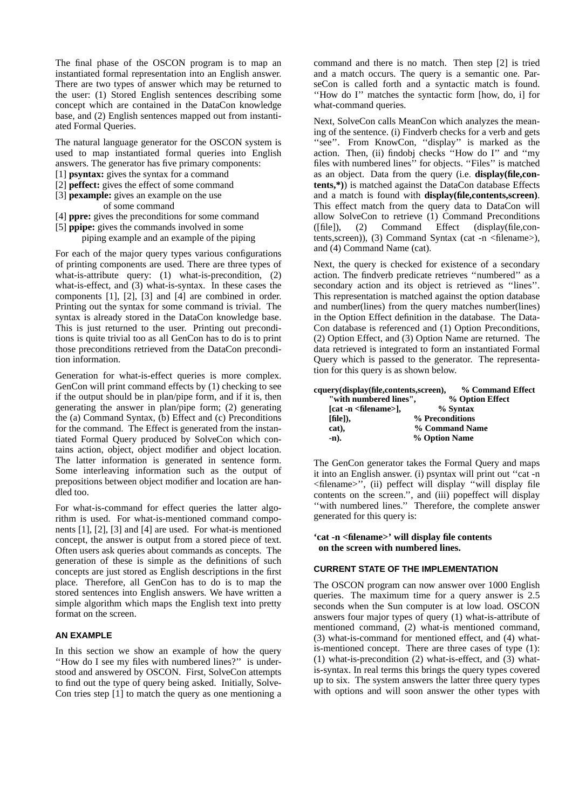The final phase of the OSCON program is to map an instantiated formal representation into an English answer. There are two types of answer which may be returned to the user: (1) Stored English sentences describing some concept which are contained in the DataCon knowledge base, and (2) English sentences mapped out from instantiated Formal Queries.

The natural language generator for the OSCON system is used to map instantiated formal queries into English answers. The generator has five primary components:

- [1] **psyntax:** gives the syntax for a command
- [2] **peffect:** gives the effect of some command
- [3] **pexample:** gives an example on the use
	- of some command
- [4] **ppre:** gives the preconditions for some command
- [5] **ppipe:** gives the commands involved in some
	- piping example and an example of the piping

For each of the major query types various configurations of printing components are used. There are three types of what-is-attribute query: (1) what-is-precondition, (2) what-is-effect, and (3) what-is-syntax. In these cases the components [1], [2], [3] and [4] are combined in order. Printing out the syntax for some command is trivial. The syntax is already stored in the DataCon knowledge base. This is just returned to the user. Printing out preconditions is quite trivial too as all GenCon has to do is to print those preconditions retrieved from the DataCon precondition information.

Generation for what-is-effect queries is more complex. GenCon will print command effects by (1) checking to see if the output should be in plan/pipe form, and if it is, then generating the answer in plan/pipe form; (2) generating the (a) Command Syntax, (b) Effect and (c) Preconditions for the command. The Effect is generated from the instantiated Formal Query produced by SolveCon which contains action, object, object modifier and object location. The latter information is generated in sentence form. Some interleaving information such as the output of prepositions between object modifier and location are handled too.

For what-is-command for effect queries the latter algorithm is used. For what-is-mentioned command components [1], [2], [3] and [4] are used. For what-is mentioned concept, the answer is output from a stored piece of text. Often users ask queries about commands as concepts. The generation of these is simple as the definitions of such concepts are just stored as English descriptions in the first place. Therefore, all GenCon has to do is to map the stored sentences into English answers. We have written a simple algorithm which maps the English text into pretty format on the screen.

# **AN EXAMPLE**

In this section we show an example of how the query ''How do I see my files with numbered lines?'' is understood and answered by OSCON. First, SolveCon attempts to find out the type of query being asked. Initially, Solve-Con tries step [1] to match the query as one mentioning a command and there is no match. Then step [2] is tried and a match occurs. The query is a semantic one. ParseCon is called forth and a syntactic match is found. ''How do I'' matches the syntactic form [how, do, i] for what-command queries.

Next, SolveCon calls MeanCon which analyzes the meaning of the sentence. (i) Findverb checks for a verb and gets "see". From KnowCon, "display" is marked as the action. Then, (ii) findobj checks ''How do I'' and ''my files with numbered lines'' for objects. ''Files'' is matched as an object. Data from the query (i.e. **display(file,contents,\*)**) is matched against the DataCon database Effects and a match is found with **display(file,contents,screen)**. This effect match from the query data to DataCon will allow SolveCon to retrieve (1) Command Preconditions ([file]), (2) Command Effect (display(file,contents,screen)), (3) Command Syntax (cat -n <filename>), and (4) Command Name (cat).

Next, the query is checked for existence of a secondary action. The findverb predicate retrieves ''numbered'' as a secondary action and its object is retrieved as ''lines''. This representation is matched against the option database and number(lines) from the query matches number(lines) in the Option Effect definition in the database. The Data-Con database is referenced and (1) Option Preconditions, (2) Option Effect, and (3) Option Name are returned. The data retrieved is integrated to form an instantiated Formal Query which is passed to the generator. The representation for this query is as shown below.

#### **cquery(display(file,contents,screen), % Command Effect "with numbered lines", % Option Effect** [cat -n <filename>], **[file]), % Preconditions cat), % Command Name -n). % Option Name**

The GenCon generator takes the Formal Query and maps it into an English answer. (i) psyntax will print out ''cat -n <filename>'', (ii) peffect will display ''will display file contents on the screen.'', and (iii) popeffect will display "with numbered lines." Therefore, the complete answer generated for this query is:

## **'cat -n <filename>' will display file contents on the screen with numbered lines.**

#### **CURRENT STATE OF THE IMPLEMENTATION**

The OSCON program can now answer over 1000 English queries. The maximum time for a query answer is 2.5 seconds when the Sun computer is at low load. OSCON answers four major types of query (1) what-is-attribute of mentioned command, (2) what-is mentioned command, (3) what-is-command for mentioned effect, and (4) whatis-mentioned concept. There are three cases of type (1): (1) what-is-precondition (2) what-is-effect, and (3) whatis-syntax. In real terms this brings the query types covered up to six. The system answers the latter three query types with options and will soon answer the other types with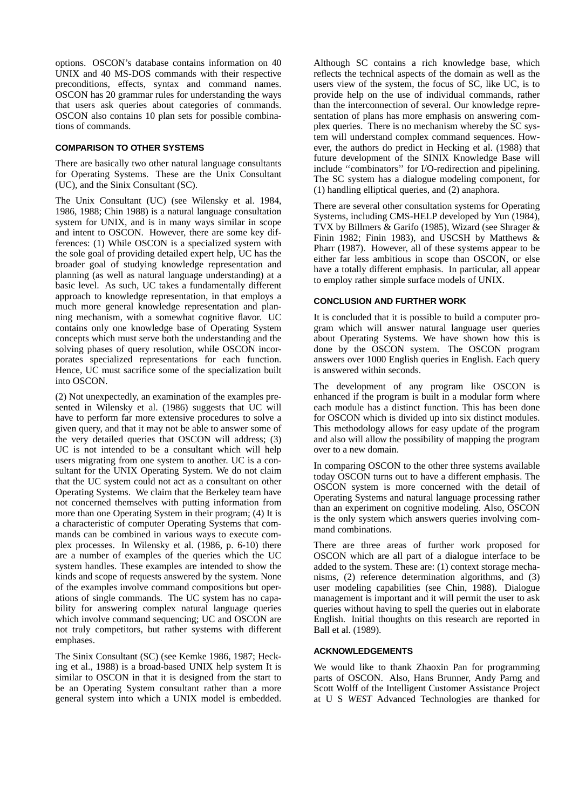options. OSCON's database contains information on 40 UNIX and 40 MS-DOS commands with their respective preconditions, effects, syntax and command names. OSCON has 20 grammar rules for understanding the ways that users ask queries about categories of commands. OSCON also contains 10 plan sets for possible combinations of commands.

## **COMPARISON TO OTHER SYSTEMS**

There are basically two other natural language consultants for Operating Systems. These are the Unix Consultant (UC), and the Sinix Consultant (SC).

The Unix Consultant (UC) (see Wilensky et al. 1984, 1986, 1988; Chin 1988) is a natural language consultation system for UNIX, and is in many ways similar in scope and intent to OSCON. However, there are some key differences: (1) While OSCON is a specialized system with the sole goal of providing detailed expert help, UC has the broader goal of studying knowledge representation and planning (as well as natural language understanding) at a basic level. As such, UC takes a fundamentally different approach to knowledge representation, in that employs a much more general knowledge representation and planning mechanism, with a somewhat cognitive flavor. UC contains only one knowledge base of Operating System concepts which must serve both the understanding and the solving phases of query resolution, while OSCON incorporates specialized representations for each function. Hence, UC must sacrifice some of the specialization built into OSCON.

(2) Not unexpectedly, an examination of the examples presented in Wilensky et al. (1986) suggests that UC will have to perform far more extensive procedures to solve a given query, and that it may not be able to answer some of the very detailed queries that OSCON will address; (3) UC is not intended to be a consultant which will help users migrating from one system to another. UC is a consultant for the UNIX Operating System. We do not claim that the UC system could not act as a consultant on other Operating Systems. We claim that the Berkeley team have not concerned themselves with putting information from more than one Operating System in their program; (4) It is a characteristic of computer Operating Systems that commands can be combined in various ways to execute complex processes. In Wilensky et al. (1986, p. 6-10) there are a number of examples of the queries which the UC system handles. These examples are intended to show the kinds and scope of requests answered by the system. None of the examples involve command compositions but operations of single commands. The UC system has no capability for answering complex natural language queries which involve command sequencing; UC and OSCON are not truly competitors, but rather systems with different emphases.

The Sinix Consultant (SC) (see Kemke 1986, 1987; Hecking et al., 1988) is a broad-based UNIX help system It is similar to OSCON in that it is designed from the start to be an Operating System consultant rather than a more general system into which a UNIX model is embedded.

Although SC contains a rich knowledge base, which reflects the technical aspects of the domain as well as the users view of the system, the focus of SC, like UC, is to provide help on the use of individual commands, rather than the interconnection of several. Our knowledge representation of plans has more emphasis on answering complex queries. There is no mechanism whereby the SC system will understand complex command sequences. However, the authors do predict in Hecking et al. (1988) that future development of the SINIX Knowledge Base will include ''combinators'' for I/O-redirection and pipelining. The SC system has a dialogue modeling component, for (1) handling elliptical queries, and (2) anaphora.

There are several other consultation systems for Operating Systems, including CMS-HELP developed by Yun (1984), TVX by Billmers & Garifo (1985), Wizard (see Shrager & Finin 1982; Finin 1983), and USCSH by Matthews & Pharr (1987). However, all of these systems appear to be either far less ambitious in scope than OSCON, or else have a totally different emphasis. In particular, all appear to employ rather simple surface models of UNIX.

# **CONCLUSION AND FURTHER WORK**

It is concluded that it is possible to build a computer program which will answer natural language user queries about Operating Systems. We have shown how this is done by the OSCON system. The OSCON program answers over 1000 English queries in English. Each query is answered within seconds.

The development of any program like OSCON is enhanced if the program is built in a modular form where each module has a distinct function. This has been done for OSCON which is divided up into six distinct modules. This methodology allows for easy update of the program and also will allow the possibility of mapping the program over to a new domain.

In comparing OSCON to the other three systems available today OSCON turns out to have a different emphasis. The OSCON system is more concerned with the detail of Operating Systems and natural language processing rather than an experiment on cognitive modeling. Also, OSCON is the only system which answers queries involving command combinations.

There are three areas of further work proposed for OSCON which are all part of a dialogue interface to be added to the system. These are: (1) context storage mechanisms, (2) reference determination algorithms, and (3) user modeling capabilities (see Chin, 1988). Dialogue management is important and it will permit the user to ask queries without having to spell the queries out in elaborate English. Initial thoughts on this research are reported in Ball et al. (1989).

# **ACKNOWLEDGEMENTS**

We would like to thank Zhaoxin Pan for programming parts of OSCON. Also, Hans Brunner, Andy Parng and Scott Wolff of the Intelligent Customer Assistance Project at U S *WEST* Advanced Technologies are thanked for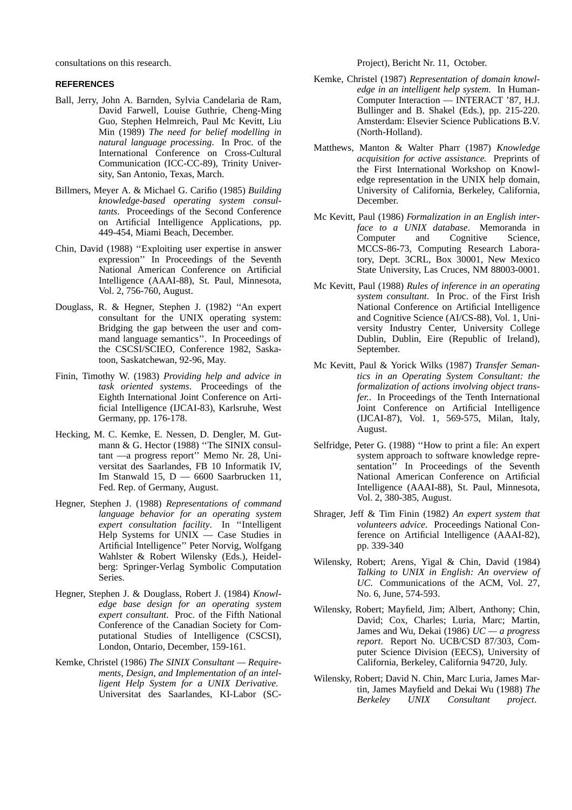consultations on this research.

#### **REFERENCES**

- Ball, Jerry, John A. Barnden, Sylvia Candelaria de Ram, David Farwell, Louise Guthrie, Cheng-Ming Guo, Stephen Helmreich, Paul Mc Kevitt, Liu Min (1989) *The need for belief modelling in natural language processing*. In Proc. of the International Conference on Cross-Cultural Communication (ICC-CC-89), Trinity University, San Antonio, Texas, March.
- Billmers, Meyer A. & Michael G. Carifio (1985) *Building knowledge-based operating system consultants*. Proceedings of the Second Conference on Artificial Intelligence Applications, pp. 449-454, Miami Beach, December.
- Chin, David (1988) ''Exploiting user expertise in answer expression'' In Proceedings of the Seventh National American Conference on Artificial Intelligence (AAAI-88), St. Paul, Minnesota, Vol. 2, 756-760, August.
- Douglass, R. & Hegner, Stephen J. (1982) ''An expert consultant for the UNIX operating system: Bridging the gap between the user and command language semantics''. In Proceedings of the CSCSI/SCIEO, Conference 1982, Saskatoon, Saskatchewan, 92-96, May.
- Finin, Timothy W. (1983) *Providing help and advice in task oriented systems*. Proceedings of the Eighth International Joint Conference on Artificial Intelligence (IJCAI-83), Karlsruhe, West Germany, pp. 176-178.
- Hecking, M. C. Kemke, E. Nessen, D. Dengler, M. Gutmann & G. Hector (1988) "The SINIX consultant —a progress report'' Memo Nr. 28, Universitat des Saarlandes, FB 10 Informatik IV, Im Stanwald 15, D — 6600 Saarbrucken 11, Fed. Rep. of Germany, August.
- Hegner, Stephen J. (1988) *Representations of command language behavior for an operating system expert consultation facility*. In ''Intelligent Help Systems for UNIX — Case Studies in Artificial Intelligence'' Peter Norvig, Wolfgang Wahlster & Robert Wilensky (Eds.), Heidelberg: Springer-Verlag Symbolic Computation Series.
- Hegner, Stephen J. & Douglass, Robert J. (1984) *Knowledge base design for an operating system expert consultant*. Proc. of the Fifth National Conference of the Canadian Society for Computational Studies of Intelligence (CSCSI), London, Ontario, December, 159-161.
- Kemke, Christel (1986) *The SINIX Consultant Requirements, Design, and Implementation of an intelligent Help System for a UNIX Derivative*. Universitat des Saarlandes, KI-Labor (SC-

Project), Bericht Nr. 11, October.

- Kemke, Christel (1987) *Representation of domain knowledge in an intelligent help system*. In Human-Computer Interaction — INTERACT '87, H.J. Bullinger and B. Shakel (Eds.), pp. 215-220. Amsterdam: Elsevier Science Publications B.V. (North-Holland).
- Matthews, Manton & Walter Pharr (1987) *Knowledge acquisition for active assistance.* Preprints of the First International Workshop on Knowledge representation in the UNIX help domain, University of California, Berkeley, California, December.
- Mc Kevitt, Paul (1986) *Formalization in an English interface to a UNIX database*. Memoranda in Computer and Cognitive Science, MCCS-86-73, Computing Research Laboratory, Dept. 3CRL, Box 30001, New Mexico State University, Las Cruces, NM 88003-0001.
- Mc Kevitt, Paul (1988) *Rules of inference in an operating system consultant*. In Proc. of the First Irish National Conference on Artificial Intelligence and Cognitive Science (AI/CS-88), Vol. 1, University Industry Center, University College Dublin, Dublin, Eire (Republic of Ireland), September.
- Mc Kevitt, Paul & Yorick Wilks (1987) *Transfer Semantics in an Operating System Consultant: the formalization of actions involving object transfer.*. In Proceedings of the Tenth International Joint Conference on Artificial Intelligence (IJCAI-87), Vol. 1, 569-575, Milan, Italy, August.
- Selfridge, Peter G. (1988) ''How to print a file: An expert system approach to software knowledge representation'' In Proceedings of the Seventh National American Conference on Artificial Intelligence (AAAI-88), St. Paul, Minnesota, Vol. 2, 380-385, August.
- Shrager, Jeff&Tim Finin (1982) *An expert system that volunteers advice*. Proceedings National Conference on Artificial Intelligence (AAAI-82), pp. 339-340
- Wilensky, Robert; Arens, Yigal & Chin, David (1984) *Talking to UNIX in English: An overview of UC*. Communications of the ACM, Vol. 27, No. 6, June, 574-593.
- Wilensky, Robert; Mayfield, Jim; Albert, Anthony; Chin, David; Cox, Charles; Luria, Marc; Martin, James and Wu, Dekai (1986) *UC — a progress report*. Report No. UCB/CSD 87/303, Computer Science Division (EECS), University of California, Berkeley, California 94720, July.
- Wilensky, Robert; David N. Chin, Marc Luria, James Martin, James Mayfield and Dekai Wu (1988) *The Berkeley UNIX Consultant project*.